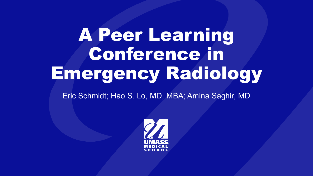# A Peer Learning Conference in Emergency Radiology

Eric Schmidt; Hao S. Lo, MD, MBA; Amina Saghir, MD

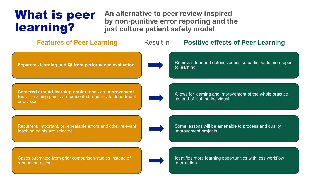### What is peer learning?

**An alternative to peer review inspired by non-punitive error reporting and the just culture patient safety model**



random sampling

interruption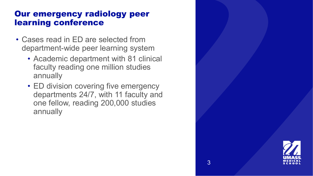#### Our emergency radiology peer learning conference

- Cases read in ED are selected from department-wide peer learning system
	- Academic department with 81 clinical faculty reading one million studies annually
	- ED division covering five emergency departments 24/7, with 11 faculty and one fellow, reading 200,000 studies annually

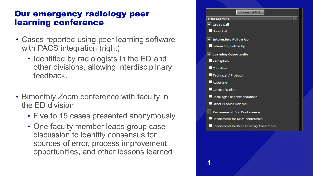#### Our emergency radiology peer learning conference

- Cases reported using peer learning software with PACS integration (right)
	- Identified by radiologists in the ED and other divisions, allowing interdisciplinary feedback.
- Bimonthly Zoom conference with faculty in the ED division
	- Five to 15 cases presented anonymously
	- One faculty member leads group case discussion to identify consensus for sources of error, process improvement opportunities, and other lessons learned

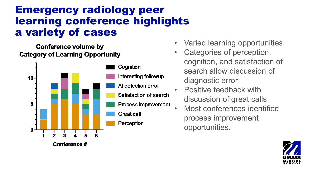### Emergency radiology peer learning conference highlights a variety of cases

Conference volume by **Category of Learning Opportunity** 



- Varied learning opportunities
- Categories of perception, cognition, and satisfaction of search allow discussion of diagnostic error
- Positive feedback with discussion of great calls
- Most conferences identified process improvement opportunities.

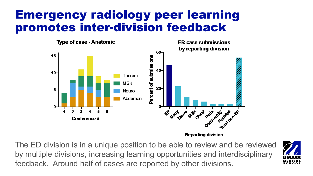### Emergency radiology peer learning promotes inter-division feedback



**Reporting division** 

The ED division is in a unique position to be able to review and be reviewed by multiple divisions, increasing learning opportunities and interdisciplinary feedback. Around half of cases are reported by other divisions.

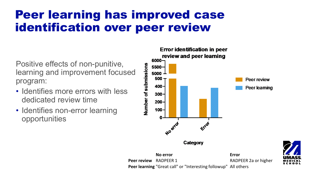## Peer learning has improved case identification over peer review

Positive effects of non-punitive, learning and improvement focused program:

- Identifies more errors with less dedicated review time
- Identifies non-error learning opportunities



**No error Error Peer review** RADPEER 1 RADPEER 2a or higher **Peer learning** "Great call" or "Interesting followup" All others

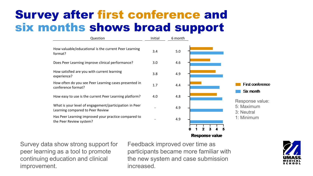### Survey after first conference and six months shows broad support



Survey data show strong support for peer learning as a tool to promote continuing education and clinical improvement.

Feedback improved over time as participants became more familiar with the new system and case submission increased.

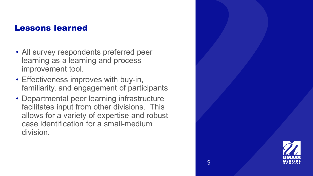#### Lessons learned

- All survey respondents preferred peer learning as a learning and process improvement tool.
- Effectiveness improves with buy-in, familiarity, and engagement of participants
- Departmental peer learning infrastructure facilitates input from other divisions. This allows for a variety of expertise and robust case identification for a small-medium division.